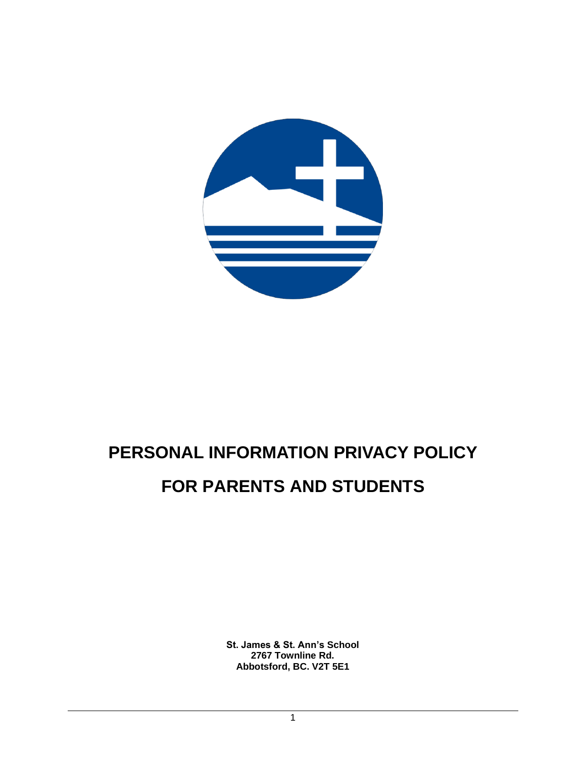<span id="page-0-0"></span>

# **PERSONAL INFORMATION PRIVACY POLICY FOR PARENTS AND STUDENTS**

**St. James & St. Ann's School 2767 Townline Rd. Abbotsford, BC. V2T 5E1**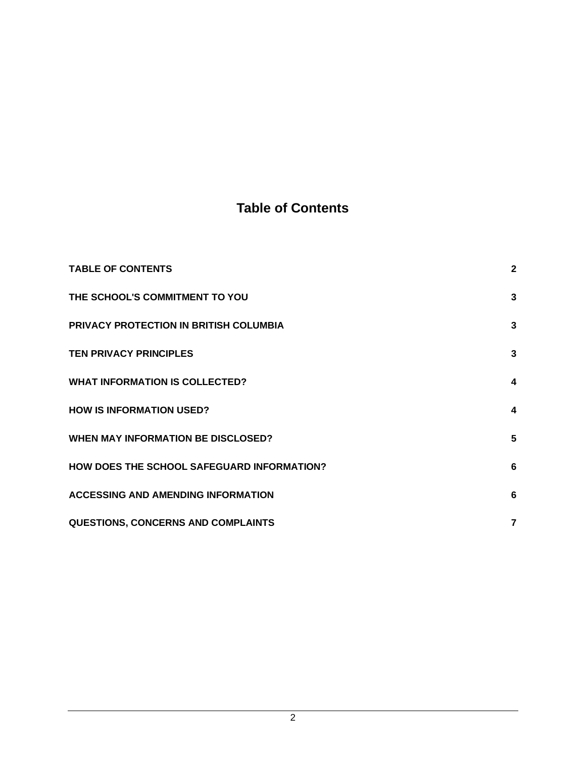# **Table of Contents**

| <b>TABLE OF CONTENTS</b>                   | $\mathbf{2}$            |
|--------------------------------------------|-------------------------|
| THE SCHOOL'S COMMITMENT TO YOU             | 3                       |
| PRIVACY PROTECTION IN BRITISH COLUMBIA     | 3                       |
| <b>TEN PRIVACY PRINCIPLES</b>              | 3                       |
| <b>WHAT INFORMATION IS COLLECTED?</b>      | 4                       |
| <b>HOW IS INFORMATION USED?</b>            | $\overline{\mathbf{4}}$ |
| <b>WHEN MAY INFORMATION BE DISCLOSED?</b>  | 5                       |
| HOW DOES THE SCHOOL SAFEGUARD INFORMATION? | 6                       |
| <b>ACCESSING AND AMENDING INFORMATION</b>  | 6                       |
| QUESTIONS, CONCERNS AND COMPLAINTS         | $\overline{7}$          |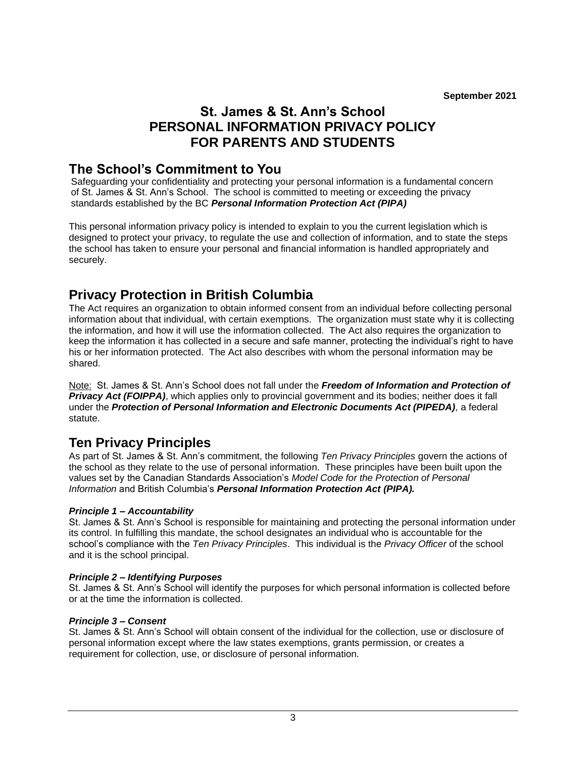# **St. James & St. Ann's School PERSONAL INFORMATION PRIVACY POLICY FOR PARENTS AND STUDENTS**

### **The School's Commitment to You**

Safeguarding your confidentiality and protecting your personal information is a fundamental concern of St. James & St. Ann's School. The school is committed to meeting or exceeding the privacy standards established by the BC *Personal Information Protection Act (PIPA)*

This personal information privacy policy is intended to explain to you the current legislation which is designed to protect your privacy, to regulate the use and collection of information, and to state the steps the school has taken to ensure your personal and financial information is handled appropriately and securely.

# <span id="page-2-0"></span>**Privacy Protection in British Columbia**

The Act requires an organization to obtain informed consent from an individual before collecting personal information about that individual, with certain exemptions. The organization must state why it is collecting the information, and how it will use the information collected. The Act also requires the organization to keep the information it has collected in a secure and safe manner, protecting the individual's right to have his or her information protected. The Act also describes with whom the personal information may be shared.

Note: St. James & St. Ann's School does not fall under the *Freedom of Information and Protection of Privacy Act (FOIPPA)*, which applies only to provincial government and its bodies; neither does it fall under the *Protection of Personal Information and Electronic Documents Act (PIPEDA),* a federal statute.

## **Ten Privacy Principles**

As part of St. James & St. Ann's commitment, the following *Ten Privacy Principles* govern the actions of the school as they relate to the use of personal information. These principles have been built upon the values set by the Canadian Standards Association's *Model Code for the Protection of Personal Information* and British Columbia's *Personal Information Protection Act (PIPA).*

### *Principle 1 – Accountability*

St. James & St. Ann's School is responsible for maintaining and protecting the personal information under its control. In fulfilling this mandate, the school designates an individual who is accountable for the school's compliance with the *Ten Privacy Principles*. This individual is the *Privacy Officer* of the school and it is the school principal.

### *Principle 2 – Identifying Purposes*

St. James & St. Ann's School will identify the purposes for which personal information is collected before or at the time the information is collected.

### *Principle 3 – Consent*

St. James & St. Ann's School will obtain consent of the individual for the collection, use or disclosure of personal information except where the law states exemptions, grants permission, or creates a requirement for collection, use, or disclosure of personal information.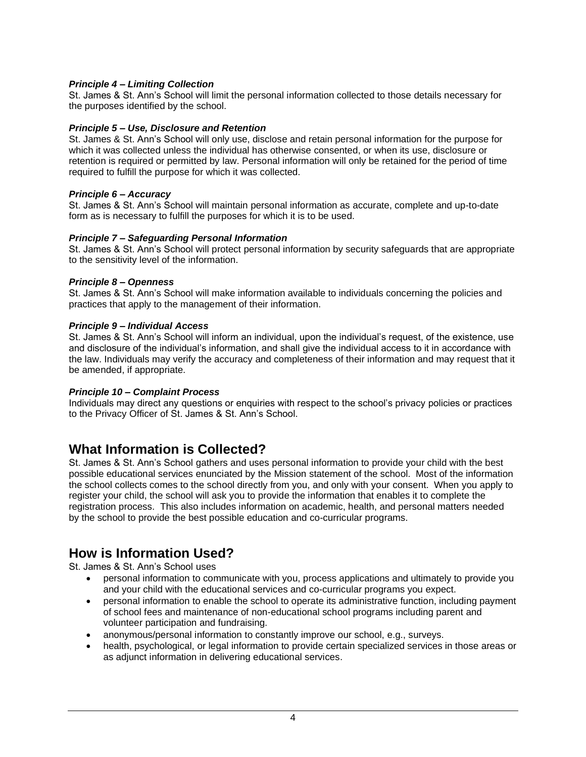### *Principle 4 – Limiting Collection*

St. James & St. Ann's School will limit the personal information collected to those details necessary for the purposes identified by the school.

### *Principle 5 – Use, Disclosure and Retention*

St. James & St. Ann's School will only use, disclose and retain personal information for the purpose for which it was collected unless the individual has otherwise consented, or when its use, disclosure or retention is required or permitted by law. Personal information will only be retained for the period of time required to fulfill the purpose for which it was collected.

### *Principle 6 – Accuracy*

St. James & St. Ann's School will maintain personal information as accurate, complete and up-to-date form as is necessary to fulfill the purposes for which it is to be used.

### *Principle 7 – Safeguarding Personal Information*

St. James & St. Ann's School will protect personal information by security safeguards that are appropriate to the sensitivity level of the information.

### *Principle 8 – Openness*

St. James & St. Ann's School will make information available to individuals concerning the policies and practices that apply to the management of their information.

### *Principle 9 – Individual Access*

St. James & St. Ann's School will inform an individual, upon the individual's request, of the existence, use and disclosure of the individual's information, and shall give the individual access to it in accordance with the law. Individuals may verify the accuracy and completeness of their information and may request that it be amended, if appropriate.

### *Principle 10 – Complaint Process*

Individuals may direct any questions or enquiries with respect to the school's privacy policies or practices to the Privacy Officer of St. James & St. Ann's School.

### <span id="page-3-0"></span>**What Information is Collected?**

St. James & St. Ann's School gathers and uses personal information to provide your child with the best possible educational services enunciated by the Mission statement of the school. Most of the information the school collects comes to the school directly from you, and only with your consent. When you apply to register your child, the school will ask you to provide the information that enables it to complete the registration process. This also includes information on academic, health, and personal matters needed by the school to provide the best possible education and co-curricular programs.

## <span id="page-3-1"></span>**How is Information Used?**

St. James & St. Ann's School uses

- personal information to communicate with you, process applications and ultimately to provide you and your child with the educational services and co-curricular programs you expect.
- personal information to enable the school to operate its administrative function, including payment of school fees and maintenance of non-educational school programs including parent and volunteer participation and fundraising.
- anonymous/personal information to constantly improve our school, e.g., surveys.
- health, psychological, or legal information to provide certain specialized services in those areas or as adjunct information in delivering educational services.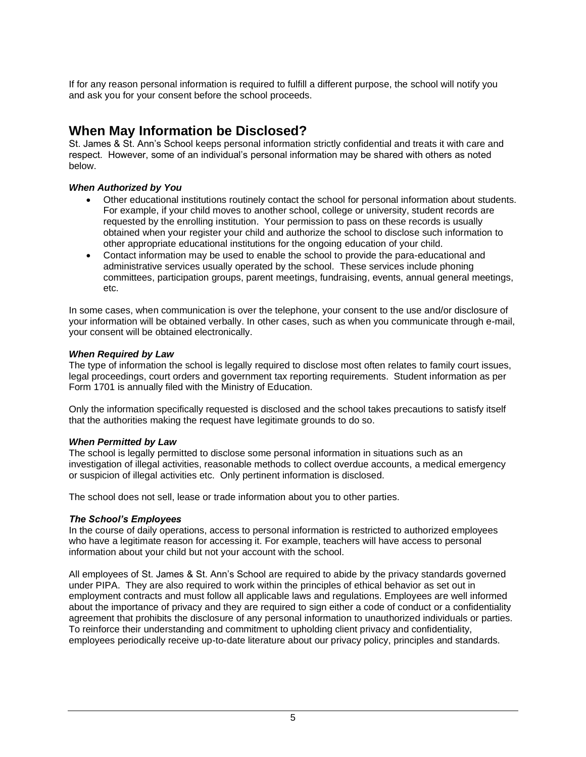If for any reason personal information is required to fulfill a different purpose, the school will notify you and ask you for your consent before the school proceeds.

# <span id="page-4-0"></span>**When May Information be Disclosed?**

St. James & St. Ann's School keeps personal information strictly confidential and treats it with care and respect. However, some of an individual's personal information may be shared with others as noted below.

### *When Authorized by You*

- Other educational institutions routinely contact the school for personal information about students. For example, if your child moves to another school, college or university, student records are requested by the enrolling institution. Your permission to pass on these records is usually obtained when your register your child and authorize the school to disclose such information to other appropriate educational institutions for the ongoing education of your child.
- Contact information may be used to enable the school to provide the para-educational and administrative services usually operated by the school. These services include phoning committees, participation groups, parent meetings, fundraising, events, annual general meetings, etc.

In some cases, when communication is over the telephone, your consent to the use and/or disclosure of your information will be obtained verbally. In other cases, such as when you communicate through e-mail, your consent will be obtained electronically.

### *When Required by Law*

The type of information the school is legally required to disclose most often relates to family court issues, legal proceedings, court orders and government tax reporting requirements. Student information as per Form 1701 is annually filed with the Ministry of Education.

Only the information specifically requested is disclosed and the school takes precautions to satisfy itself that the authorities making the request have legitimate grounds to do so.

### *When Permitted by Law*

The school is legally permitted to disclose some personal information in situations such as an investigation of illegal activities, reasonable methods to collect overdue accounts, a medical emergency or suspicion of illegal activities etc. Only pertinent information is disclosed.

The school does not sell, lease or trade information about you to other parties.

### *The School's Employees*

In the course of daily operations, access to personal information is restricted to authorized employees who have a legitimate reason for accessing it. For example, teachers will have access to personal information about your child but not your account with the school.

All employees of St. James & St. Ann's School are required to abide by the privacy standards governed under PIPA. They are also required to work within the principles of ethical behavior as set out in employment contracts and must follow all applicable laws and regulations. Employees are well informed about the importance of privacy and they are required to sign either a code of conduct or a confidentiality agreement that prohibits the disclosure of any personal information to unauthorized individuals or parties. To reinforce their understanding and commitment to upholding client privacy and confidentiality, employees periodically receive up-to-date literature about our privacy policy, principles and standards.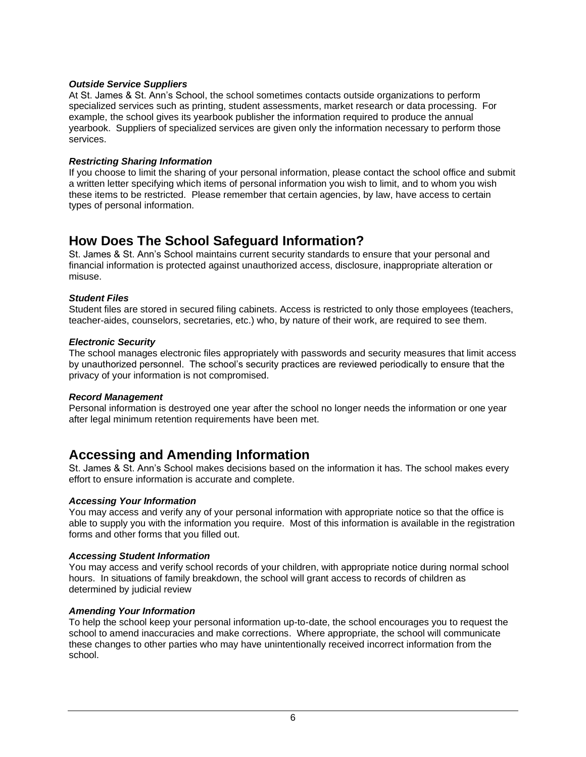### *Outside Service Suppliers*

At St. James & St. Ann's School, the school sometimes contacts outside organizations to perform specialized services such as printing, student assessments, market research or data processing. For example, the school gives its yearbook publisher the information required to produce the annual yearbook. Suppliers of specialized services are given only the information necessary to perform those services.

### *Restricting Sharing Information*

If you choose to limit the sharing of your personal information, please contact the school office and submit a written letter specifying which items of personal information you wish to limit, and to whom you wish these items to be restricted. Please remember that certain agencies, by law, have access to certain types of personal information.

# <span id="page-5-0"></span>**How Does The School Safeguard Information?**

St. James & St. Ann's School maintains current security standards to ensure that your personal and financial information is protected against unauthorized access, disclosure, inappropriate alteration or misuse.

### *Student Files*

Student files are stored in secured filing cabinets. Access is restricted to only those employees (teachers, teacher-aides, counselors, secretaries, etc.) who, by nature of their work, are required to see them.

### *Electronic Security*

The school manages electronic files appropriately with passwords and security measures that limit access by unauthorized personnel. The school's security practices are reviewed periodically to ensure that the privacy of your information is not compromised.

### *Record Management*

Personal information is destroyed one year after the school no longer needs the information or one year after legal minimum retention requirements have been met.

### <span id="page-5-1"></span>**Accessing and Amending Information**

St. James & St. Ann's School makes decisions based on the information it has. The school makes every effort to ensure information is accurate and complete.

### *Accessing Your Information*

You may access and verify any of your personal information with appropriate notice so that the office is able to supply you with the information you require. Most of this information is available in the registration forms and other forms that you filled out.

### *Accessing Student Information*

You may access and verify school records of your children, with appropriate notice during normal school hours. In situations of family breakdown, the school will grant access to records of children as determined by judicial review

### *Amending Your Information*

To help the school keep your personal information up-to-date, the school encourages you to request the school to amend inaccuracies and make corrections. Where appropriate, the school will communicate these changes to other parties who may have unintentionally received incorrect information from the school.